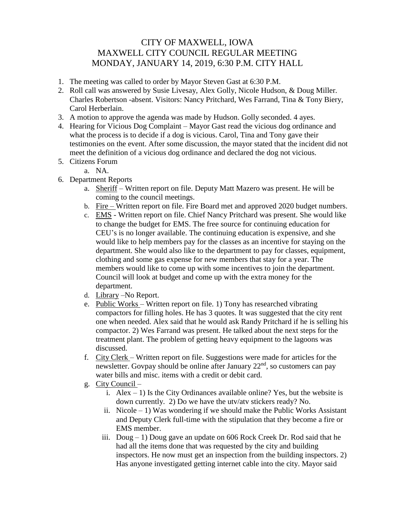## CITY OF MAXWELL, IOWA MAXWELL CITY COUNCIL REGULAR MEETING MONDAY, JANUARY 14, 2019, 6:30 P.M. CITY HALL

- 1. The meeting was called to order by Mayor Steven Gast at 6:30 P.M.
- 2. Roll call was answered by Susie Livesay, Alex Golly, Nicole Hudson, & Doug Miller. Charles Robertson -absent. Visitors: Nancy Pritchard, Wes Farrand, Tina & Tony Biery, Carol Herberlain.
- 3. A motion to approve the agenda was made by Hudson. Golly seconded. 4 ayes.
- 4. Hearing for Vicious Dog Complaint Mayor Gast read the vicious dog ordinance and what the process is to decide if a dog is vicious. Carol, Tina and Tony gave their testimonies on the event. After some discussion, the mayor stated that the incident did not meet the definition of a vicious dog ordinance and declared the dog not vicious.
- 5. Citizens Forum
	- a. NA.
- 6. Department Reports
	- a. Sheriff Written report on file. Deputy Matt Mazero was present. He will be coming to the council meetings.
	- b. Fire Written report on file. Fire Board met and approved 2020 budget numbers.
	- c. EMS Written report on file. Chief Nancy Pritchard was present. She would like to change the budget for EMS. The free source for continuing education for CEU's is no longer available. The continuing education is expensive, and she would like to help members pay for the classes as an incentive for staying on the department. She would also like to the department to pay for classes, equipment, clothing and some gas expense for new members that stay for a year. The members would like to come up with some incentives to join the department. Council will look at budget and come up with the extra money for the department.
	- d. Library –No Report.
	- e. Public Works Written report on file. 1) Tony has researched vibrating compactors for filling holes. He has 3 quotes. It was suggested that the city rent one when needed. Alex said that he would ask Randy Pritchard if he is selling his compactor. 2) Wes Farrand was present. He talked about the next steps for the treatment plant. The problem of getting heavy equipment to the lagoons was discussed.
	- f. City Clerk Written report on file. Suggestions were made for articles for the newsletter. Govpay should be online after January  $22<sup>nd</sup>$ , so customers can pay water bills and misc. items with a credit or debit card.
	- g. City Council
		- i.  $Alex 1$ ) Is the City Ordinances available online? Yes, but the website is down currently. 2) Do we have the utv/atv stickers ready? No.
		- ii. Nicole  $-1$ ) Was wondering if we should make the Public Works Assistant and Deputy Clerk full-time with the stipulation that they become a fire or EMS member.
		- iii. Doug 1) Doug gave an update on 606 Rock Creek Dr. Rod said that he had all the items done that was requested by the city and building inspectors. He now must get an inspection from the building inspectors. 2) Has anyone investigated getting internet cable into the city. Mayor said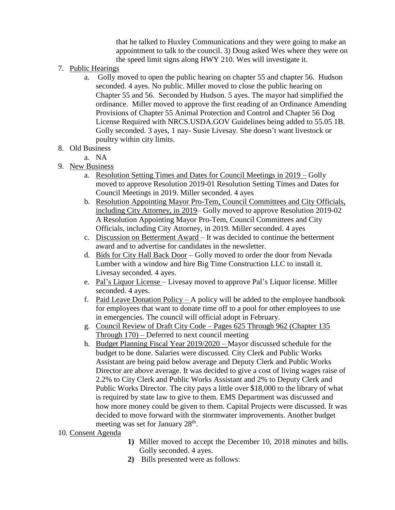that he talked to Huxley Communications and they were going to make an appointment to talk to the council. 3) Doug asked Wes where they were on the speed limit signs along HWY 210. Wes will investigate it.

- 7. Public Hearings
	- a. Golly moved to open the public hearing on chapter 55 and chapter 56. Hudson seconded. 4 ayes. No public. Miller moved to close the public hearing on Chapter 55 and 56. Seconded by Hudson. 5 ayes. The mayor had simplified the ordinance. Miller moved to approve the first reading of an Ordinance Amending Provisions of Chapter 55 Animal Protection and Control and Chapter 56 Dog License Required with NRCS.USDA.GOV Guidelines being added to 55.05 1B. Golly seconded. 3 ayes, 1 nay- Susie Livesay. She doesn't want livestock or poultry within city limits.
- 8. Old Business

a. NA

- 9. New Business
	- a. Resolution Setting Times and Dates for Council Meetings in 2019 Golly moved to approve Resolution 2019-01 Resolution Setting Times and Dates for Council Meetings in 2019. Miller seconded. 4 ayes
	- b. Resolution Appointing Mayor Pro-Tem, Council Committees and City Officials, including City Attorney, in 2019– Golly moved to approve Resolution 2019-02 A Resolution Appointing Mayor Pro-Tem, Council Committees and City Officials, including City Attorney, in 2019. Miller seconded. 4 ayes
	- c. Discussion on Betterment Award It was decided to continue the betterment award and to advertise for candidates in the newsletter.
	- d. Bids for City Hall Back Door Golly moved to order the door from Nevada Lumber with a window and hire Big Time Construction LLC to install it. Livesay seconded. 4 ayes.
	- e. Pal's Liquor License Livesay moved to approve Pal's Liquor license. Miller seconded. 4 ayes.
	- f. Paid Leave Donation Policy A policy will be added to the employee handbook for employees that want to donate time off to a pool for other employees to use in emergencies. The council will official adopt in February.
	- g. Council Review of Draft City Code Pages 625 Through 962 (Chapter 135 Through 170) – Deferred to next council meeting
	- h. Budget Planning Fiscal Year 2019/2020 Mayor discussed schedule for the budget to be done. Salaries were discussed. City Clerk and Public Works Assistant are being paid below average and Deputy Clerk and Public Works Director are above average. It was decided to give a cost of living wages raise of 2.2% to City Clerk and Public Works Assistant and 2% to Deputy Clerk and Public Works Director. The city pays a little over \$18,000 to the library of what is required by state law to give to them. EMS Department was discussed and how more money could be given to them. Capital Projects were discussed. It was decided to move forward with the stormwater improvements. Another budget meeting was set for January 28<sup>th</sup>.

## 10. Consent Agenda

- **1)** Miller moved to accept the December 10, 2018 minutes and bills. Golly seconded. 4 ayes.
- **2)** Bills presented were as follows: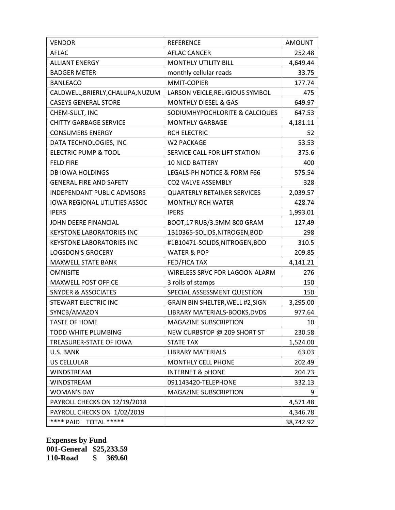| <b>VENDOR</b>                      | <b>REFERENCE</b>                   | <b>AMOUNT</b> |
|------------------------------------|------------------------------------|---------------|
| <b>AFLAC</b>                       | <b>AFLAC CANCER</b>                | 252.48        |
| <b>ALLIANT ENERGY</b>              | <b>MONTHLY UTILITY BILL</b>        | 4,649.44      |
| <b>BADGER METER</b>                | monthly cellular reads             | 33.75         |
| <b>BANLEACO</b>                    | MMIT-COPIER                        | 177.74        |
| CALDWELL, BRIERLY, CHALUPA, NUZUM  | LARSON VEICLE, RELIGIOUS SYMBOL    | 475           |
| <b>CASEYS GENERAL STORE</b>        | <b>MONTHLY DIESEL &amp; GAS</b>    | 649.97        |
| CHEM-SULT, INC                     | SODIUMHYPOCHLORITE & CALCIQUES     | 647.53        |
| <b>CHITTY GARBAGE SERVICE</b>      | <b>MONTHLY GARBAGE</b>             | 4,181.11      |
| <b>CONSUMERS ENERGY</b>            | <b>RCH ELECTRIC</b>                | 52            |
| DATA TECHNOLOGIES, INC             | W2 PACKAGE                         | 53.53         |
| <b>ELECTRIC PUMP &amp; TOOL</b>    | SERVICE CALL FOR LIFT STATION      | 375.6         |
| <b>FELD FIRE</b>                   | <b>10 NICD BATTERY</b>             | 400           |
| <b>DB IOWA HOLDINGS</b>            | LEGALS-PH NOTICE & FORM F66        | 575.54        |
| <b>GENERAL FIRE AND SAFETY</b>     | CO2 VALVE ASSEMBLY                 | 328           |
| <b>INDEPENDANT PUBLIC ADVISORS</b> | <b>QUARTERLY RETAINER SERVICES</b> | 2,039.57      |
| IOWA REGIONAL UTILITIES ASSOC      | <b>MONTHLY RCH WATER</b>           | 428.74        |
| <b>IPERS</b>                       | <b>IPERS</b>                       | 1,993.01      |
| JOHN DEERE FINANCIAL               | BOOT,17'RUB/3.5MM 800 GRAM         | 127.49        |
| <b>KEYSTONE LABORATORIES INC</b>   | 1B10365-SOLIDS, NITROGEN, BOD      | 298           |
| <b>KEYSTONE LABORATORIES INC</b>   | #1B10471-SOLIDS, NITROGEN, BOD     | 310.5         |
| <b>LOGSDON'S GROCERY</b>           | <b>WATER &amp; POP</b>             | 209.85        |
| MAXWELL STATE BANK                 | FED/FICA TAX                       | 4,141.21      |
| <b>OMNISITE</b>                    | WIRELESS SRVC FOR LAGOON ALARM     | 276           |
| <b>MAXWELL POST OFFICE</b>         | 3 rolls of stamps                  | 150           |
| <b>SNYDER &amp; ASSOCIATES</b>     | SPECIAL ASSESSMENT QUESTION        | 150           |
| <b>STEWART ELECTRIC INC</b>        | GRAIN BIN SHELTER, WELL #2, SIGN   | 3,295.00      |
| SYNCB/AMAZON                       | LIBRARY MATERIALS-BOOKS, DVDS      | 977.64        |
| <b>TASTE OF HOME</b>               | <b>MAGAZINE SUBSCRIPTION</b>       | 10            |
| TODD WHITE PLUMBING                | NEW CURBSTOP @ 209 SHORT ST        | 230.58        |
| TREASURER-STATE OF IOWA            | <b>STATE TAX</b>                   | 1,524.00      |
| U.S. BANK                          | <b>LIBRARY MATERIALS</b>           | 63.03         |
| <b>US CELLULAR</b>                 | MONTHLY CELL PHONE                 | 202.49        |
| WINDSTREAM                         | <b>INTERNET &amp; pHONE</b>        | 204.73        |
| <b>WINDSTREAM</b>                  | 091143420-TELEPHONE                | 332.13        |
| <b>WOMAN'S DAY</b>                 | <b>MAGAZINE SUBSCRIPTION</b>       | 9             |
| PAYROLL CHECKS ON 12/19/2018       |                                    | 4,571.48      |
| PAYROLL CHECKS ON 1/02/2019        |                                    | 4,346.78      |
| **** PAID<br>TOTAL *****           |                                    | 38,742.92     |

**Expenses by Fund 001-General \$25,233.59 110-Road \$ 369.60**